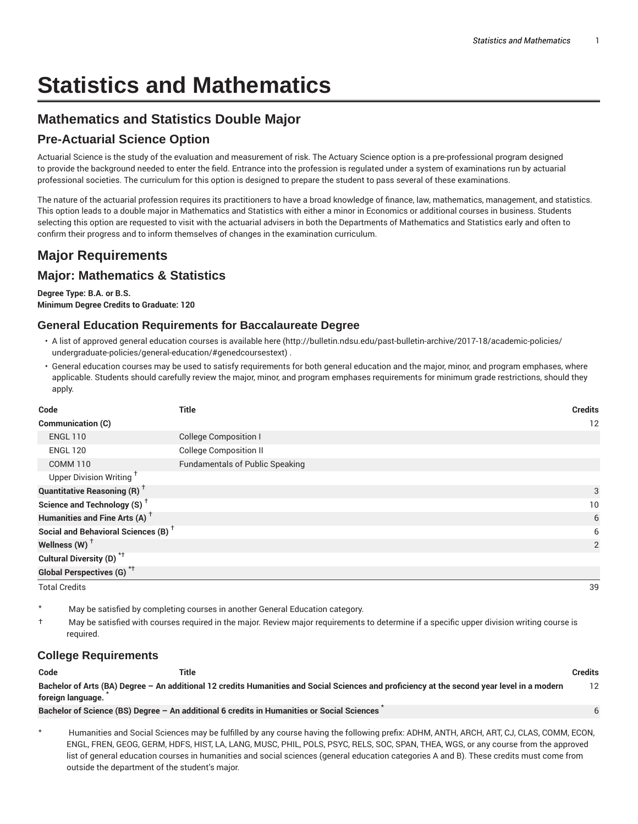# **Statistics and Mathematics**

# **Mathematics and Statistics Double Major**

## **Pre-Actuarial Science Option**

Actuarial Science is the study of the evaluation and measurement of risk. The Actuary Science option is a pre-professional program designed to provide the background needed to enter the field. Entrance into the profession is regulated under a system of examinations run by actuarial professional societies. The curriculum for this option is designed to prepare the student to pass several of these examinations.

The nature of the actuarial profession requires its practitioners to have a broad knowledge of finance, law, mathematics, management, and statistics. This option leads to a double major in Mathematics and Statistics with either a minor in Economics or additional courses in business. Students selecting this option are requested to visit with the actuarial advisers in both the Departments of Mathematics and Statistics early and often to confirm their progress and to inform themselves of changes in the examination curriculum.

# **Major Requirements**

## **Major: Mathematics & Statistics**

**Degree Type: B.A. or B.S. Minimum Degree Credits to Graduate: 120**

#### **General Education Requirements for Baccalaureate Degree**

- A list of approved general education courses is available here (http://bulletin.ndsu.edu/past-bulletin-archive/2017-18/academic-policies/ undergraduate-policies/general-education/#genedcoursestext) .
- General education courses may be used to satisfy requirements for both general education and the major, minor, and program emphases, where applicable. Students should carefully review the major, minor, and program emphases requirements for minimum grade restrictions, should they apply.

| Code                                            | Title                                  | <b>Credits</b> |
|-------------------------------------------------|----------------------------------------|----------------|
| Communication (C)                               |                                        | 12             |
| <b>ENGL 110</b>                                 | <b>College Composition I</b>           |                |
| <b>ENGL 120</b>                                 | <b>College Composition II</b>          |                |
| <b>COMM 110</b>                                 | <b>Fundamentals of Public Speaking</b> |                |
| Upper Division Writing <sup>+</sup>             |                                        |                |
| <b>Quantitative Reasoning (R)</b> <sup>†</sup>  |                                        | 3              |
| Science and Technology (S) <sup>+</sup>         |                                        | 10             |
| Humanities and Fine Arts (A) <sup>+</sup>       |                                        | 6              |
| Social and Behavioral Sciences (B) <sup>+</sup> |                                        | 6              |
| Wellness $(W)$ <sup>+</sup>                     |                                        | 2              |
| Cultural Diversity (D) <sup>*†</sup>            |                                        |                |
| <b>Global Perspectives (G)</b> <sup>*†</sup>    |                                        |                |
| <b>Total Credits</b>                            |                                        | 39             |

May be satisfied by completing courses in another General Education category.

† May be satisfied with courses required in the major. Review major requirements to determine if a specific upper division writing course is required.

## **College Requirements**

| Code              | Title                                                                                                                                       | Credits |
|-------------------|---------------------------------------------------------------------------------------------------------------------------------------------|---------|
|                   | Bachelor of Arts (BA) Degree - An additional 12 credits Humanities and Social Sciences and proficiency at the second year level in a modern |         |
| foreign language. |                                                                                                                                             |         |
|                   | Bachelor of Science (BS) Degree - An additional 6 credits in Humanities or Social Sciences                                                  |         |

Humanities and Social Sciences may be fulfilled by any course having the following prefix: ADHM, ANTH, ARCH, ART, CJ, CLAS, COMM, ECON, ENGL, FREN, GEOG, GERM, HDFS, HIST, LA, LANG, MUSC, PHIL, POLS, PSYC, RELS, SOC, SPAN, THEA, WGS, or any course from the approved list of general education courses in humanities and social sciences (general education categories A and B). These credits must come from outside the department of the student's major.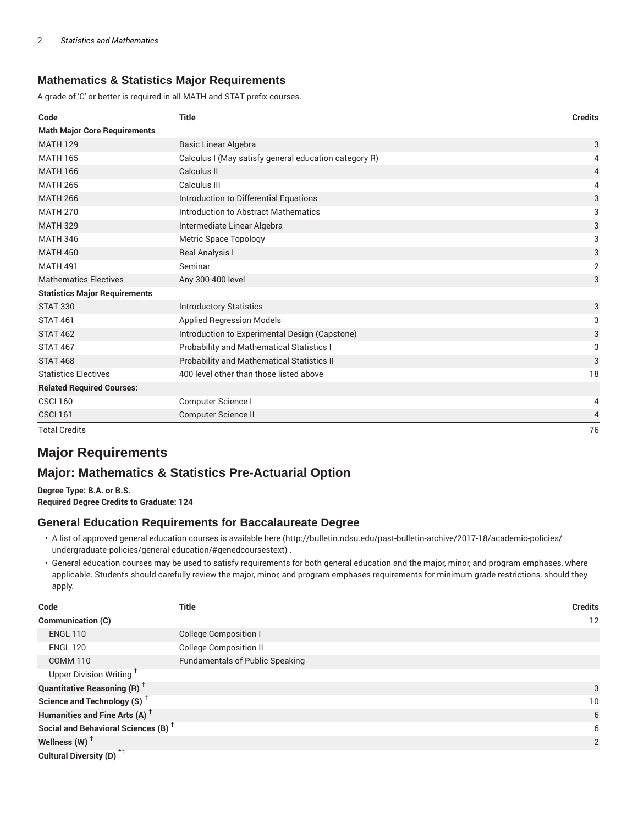### **Mathematics & Statistics Major Requirements**

A grade of 'C' or better is required in all MATH and STAT prefix courses.

| Code                                 | <b>Title</b>                                          | <b>Credits</b> |
|--------------------------------------|-------------------------------------------------------|----------------|
| <b>Math Major Core Requirements</b>  |                                                       |                |
| <b>MATH 129</b>                      | <b>Basic Linear Algebra</b>                           | 3              |
| <b>MATH 165</b>                      | Calculus I (May satisfy general education category R) | 4              |
| <b>MATH 166</b>                      | Calculus II                                           | 4              |
| <b>MATH 265</b>                      | Calculus III                                          | 4              |
| <b>MATH 266</b>                      | Introduction to Differential Equations                | 3              |
| <b>MATH 270</b>                      | Introduction to Abstract Mathematics                  | 3              |
| <b>MATH 329</b>                      | Intermediate Linear Algebra                           | 3              |
| <b>MATH 346</b>                      | Metric Space Topology                                 | 3              |
| <b>MATH 450</b>                      | Real Analysis I                                       | 3              |
| <b>MATH 491</b>                      | Seminar                                               | $\overline{2}$ |
| <b>Mathematics Electives</b>         | Any 300-400 level                                     | 3              |
| <b>Statistics Major Requirements</b> |                                                       |                |
| <b>STAT 330</b>                      | <b>Introductory Statistics</b>                        | 3              |
| <b>STAT 461</b>                      | <b>Applied Regression Models</b>                      | 3              |
| <b>STAT 462</b>                      | Introduction to Experimental Design (Capstone)        | 3              |
| <b>STAT 467</b>                      | Probability and Mathematical Statistics I             | 3              |
| <b>STAT 468</b>                      | Probability and Mathematical Statistics II            | 3              |
| <b>Statistics Electives</b>          | 400 level other than those listed above               | 18             |
| <b>Related Required Courses:</b>     |                                                       |                |
| <b>CSCI 160</b>                      | Computer Science I                                    | 4              |
| <b>CSCI 161</b>                      | <b>Computer Science II</b>                            | 4              |
| <b>Total Credits</b>                 |                                                       | 76             |

# **Major Requirements**

## **Major: Mathematics & Statistics Pre-Actuarial Option**

**Degree Type: B.A. or B.S. Required Degree Credits to Graduate: 124**

#### **General Education Requirements for Baccalaureate Degree**

- A list of approved general education courses is available here (http://bulletin.ndsu.edu/past-bulletin-archive/2017-18/academic-policies/ undergraduate-policies/general-education/#genedcoursestext) .
- General education courses may be used to satisfy requirements for both general education and the major, minor, and program emphases, where applicable. Students should carefully review the major, minor, and program emphases requirements for minimum grade restrictions, should they apply.

| Code                                                 | Title                                  | <b>Credits</b>  |
|------------------------------------------------------|----------------------------------------|-----------------|
| Communication (C)                                    |                                        | 12              |
| <b>ENGL 110</b>                                      | College Composition I                  |                 |
| <b>ENGL 120</b>                                      | <b>College Composition II</b>          |                 |
| <b>COMM 110</b>                                      | <b>Fundamentals of Public Speaking</b> |                 |
| Upper Division Writing <sup>+</sup>                  |                                        |                 |
| <b>Quantitative Reasoning (R)</b> <sup>†</sup>       |                                        | 3               |
| Science and Technology (S) <sup><math>†</math></sup> |                                        | 10 <sup>°</sup> |
| Humanities and Fine Arts (A) <sup>+</sup>            |                                        | 6               |
| Social and Behavioral Sciences (B) <sup>+</sup>      |                                        | 6               |
| Wellness $(W)$ <sup>+</sup>                          |                                        | 2               |
| Cultural Diversity (D) <sup>*†</sup>                 |                                        |                 |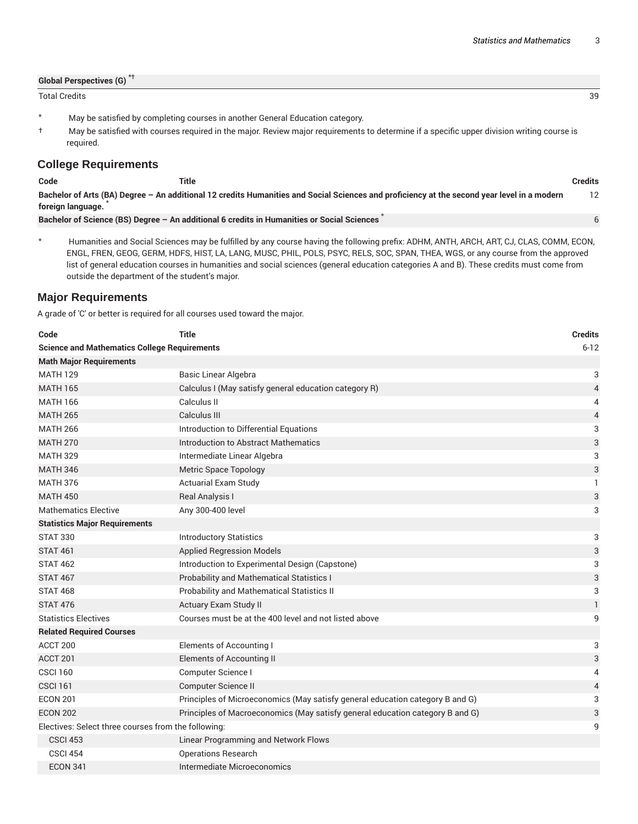| <b>Global Perspectives (G)</b> |    |
|--------------------------------|----|
| <b>Total Credits</b>           | 39 |

- \* May be satisfied by completing courses in another General Education category.
- † May be satisfied with courses required in the major. Review major requirements to determine if a specific upper division writing course is required.

#### **College Requirements**

| Code              | Title                                                                                                                                       | Credits |
|-------------------|---------------------------------------------------------------------------------------------------------------------------------------------|---------|
|                   | Bachelor of Arts (BA) Degree - An additional 12 credits Humanities and Social Sciences and proficiency at the second year level in a modern |         |
| foreign language. |                                                                                                                                             |         |
|                   | Bachelor of Science (BS) Degree - An additional 6 credits in Humanities or Social Sciences                                                  |         |

\* Humanities and Social Sciences may be fulfilled by any course having the following prefix: ADHM, ANTH, ARCH, ART, CJ, CLAS, COMM, ECON, ENGL, FREN, GEOG, GERM, HDFS, HIST, LA, LANG, MUSC, PHIL, POLS, PSYC, RELS, SOC, SPAN, THEA, WGS, or any course from the approved list of general education courses in humanities and social sciences (general education categories A and B). These credits must come from outside the department of the student's major.

#### **Major Requirements**

A grade of 'C' or better is required for all courses used toward the major.

| Code                                                | <b>Title</b>                                                                  | <b>Credits</b> |
|-----------------------------------------------------|-------------------------------------------------------------------------------|----------------|
| <b>Science and Mathematics College Requirements</b> |                                                                               | $6 - 12$       |
| <b>Math Major Requirements</b>                      |                                                                               |                |
| <b>MATH 129</b>                                     | Basic Linear Algebra                                                          | 3              |
| <b>MATH 165</b>                                     | Calculus I (May satisfy general education category R)                         | $\overline{4}$ |
| <b>MATH 166</b>                                     | Calculus II                                                                   | 4              |
| <b>MATH 265</b>                                     | Calculus III                                                                  | 4              |
| <b>MATH 266</b>                                     | Introduction to Differential Equations                                        | 3              |
| <b>MATH 270</b>                                     | Introduction to Abstract Mathematics                                          | $\sqrt{3}$     |
| <b>MATH 329</b>                                     | Intermediate Linear Algebra                                                   | 3              |
| <b>MATH 346</b>                                     | <b>Metric Space Topology</b>                                                  | 3              |
| <b>MATH 376</b>                                     | <b>Actuarial Exam Study</b>                                                   | $\mathbf{1}$   |
| <b>MATH 450</b>                                     | Real Analysis I                                                               | 3              |
| <b>Mathematics Elective</b>                         | Any 300-400 level                                                             | 3              |
| <b>Statistics Major Requirements</b>                |                                                                               |                |
| <b>STAT 330</b>                                     | <b>Introductory Statistics</b>                                                | 3              |
| <b>STAT 461</b>                                     | <b>Applied Regression Models</b>                                              | 3              |
| <b>STAT 462</b>                                     | Introduction to Experimental Design (Capstone)                                | 3              |
| <b>STAT 467</b>                                     | <b>Probability and Mathematical Statistics I</b>                              | 3              |
| <b>STAT 468</b>                                     | Probability and Mathematical Statistics II                                    | 3              |
| <b>STAT 476</b>                                     | Actuary Exam Study II                                                         | $\mathbf{1}$   |
| <b>Statistics Electives</b>                         | Courses must be at the 400 level and not listed above                         | 9              |
| <b>Related Required Courses</b>                     |                                                                               |                |
| ACCT 200                                            | <b>Elements of Accounting I</b>                                               | 3              |
| ACCT <sub>201</sub>                                 | Elements of Accounting II                                                     | $\sqrt{3}$     |
| <b>CSCI 160</b>                                     | Computer Science I                                                            | 4              |
| <b>CSCI 161</b>                                     | Computer Science II                                                           | 4              |
| <b>ECON 201</b>                                     | Principles of Microeconomics (May satisfy general education category B and G) | 3              |
| <b>ECON 202</b>                                     | Principles of Macroeconomics (May satisfy general education category B and G) | 3              |
| Electives: Select three courses from the following: |                                                                               | 9              |
| <b>CSCI 453</b>                                     | Linear Programming and Network Flows                                          |                |
| <b>CSCI 454</b>                                     | <b>Operations Research</b>                                                    |                |
| <b>ECON 341</b>                                     | Intermediate Microeconomics                                                   |                |